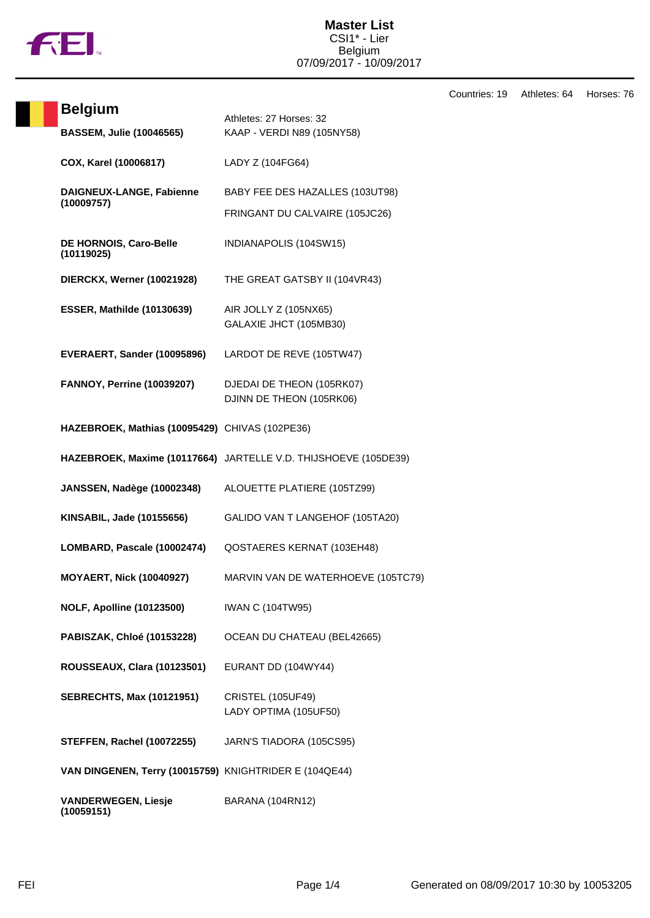

Countries: 19 Athletes: 64 Horses: 76

| <b>Belgium</b>                                         | Athletes: 27 Horses: 32                                         |
|--------------------------------------------------------|-----------------------------------------------------------------|
| <b>BASSEM, Julie (10046565)</b>                        | KAAP - VERDI N89 (105NY58)                                      |
| COX, Karel (10006817)                                  | LADY Z (104FG64)                                                |
| DAIGNEUX-LANGE, Fabienne<br>(10009757)                 | BABY FEE DES HAZALLES (103UT98)                                 |
|                                                        | FRINGANT DU CALVAIRE (105JC26)                                  |
| DE HORNOIS, Caro-Belle<br>(10119025)                   | INDIANAPOLIS (104SW15)                                          |
| <b>DIERCKX, Werner (10021928)</b>                      | THE GREAT GATSBY II (104VR43)                                   |
| <b>ESSER, Mathilde (10130639)</b>                      | AIR JOLLY Z (105NX65)<br>GALAXIE JHCT (105MB30)                 |
| EVERAERT, Sander (10095896)                            | LARDOT DE REVE (105TW47)                                        |
| <b>FANNOY, Perrine (10039207)</b>                      | DJEDAI DE THEON (105RK07)<br>DJINN DE THEON (105RK06)           |
| HAZEBROEK, Mathias (10095429) CHIVAS (102PE36)         |                                                                 |
|                                                        | HAZEBROEK, Maxime (10117664) JARTELLE V.D. THIJSHOEVE (105DE39) |
| <b>JANSSEN, Nadège (10002348)</b>                      | ALOUETTE PLATIERE (105TZ99)                                     |
| KINSABIL, Jade (10155656)                              | GALIDO VAN T LANGEHOF (105TA20)                                 |
| LOMBARD, Pascale (10002474)                            | QOSTAERES KERNAT (103EH48)                                      |
| <b>MOYAERT, Nick (10040927)</b>                        | MARVIN VAN DE WATERHOEVE (105TC79)                              |
| <b>NOLF, Apolline (10123500)</b>                       | <b>IWAN C (104TW95)</b>                                         |
| <b>PABISZAK, Chloé (10153228)</b>                      | OCEAN DU CHATEAU (BEL42665)                                     |
| <b>ROUSSEAUX, Clara (10123501)</b>                     | EURANT DD (104WY44)                                             |
| <b>SEBRECHTS, Max (10121951)</b>                       | <b>CRISTEL (105UF49)</b><br>LADY OPTIMA (105UF50)               |
| <b>STEFFEN, Rachel (10072255)</b>                      | JARN'S TIADORA (105CS95)                                        |
| VAN DINGENEN, Terry (10015759) KNIGHTRIDER E (104QE44) |                                                                 |
| <b>VANDERWEGEN, Liesje</b><br>(10059151)               | BARANA (104RN12)                                                |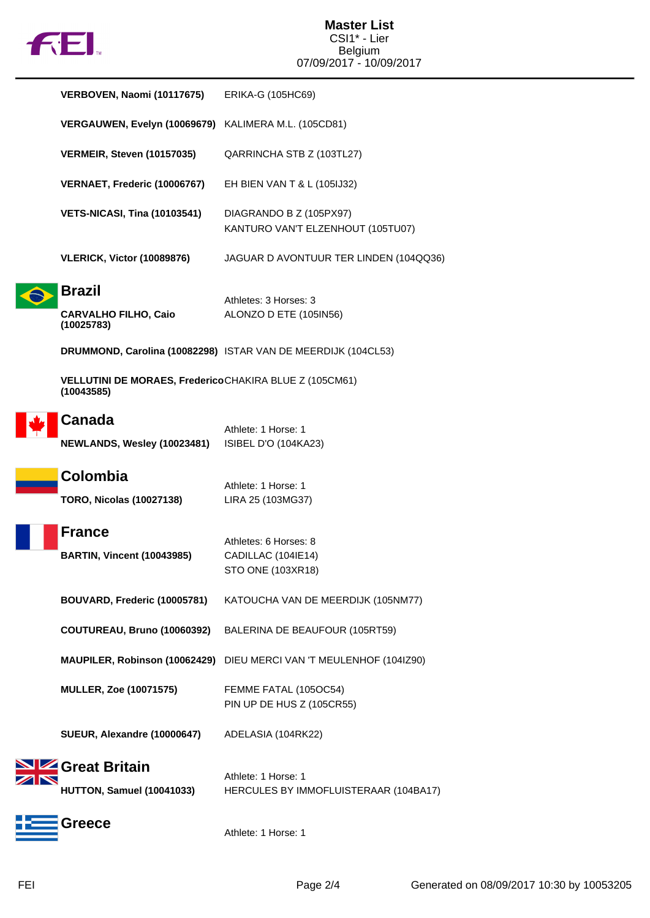

|  | VERBOVEN, Naomi (10117675)                                 | ERIKA-G (105HC69)                                                |
|--|------------------------------------------------------------|------------------------------------------------------------------|
|  | VERGAUWEN, Evelyn (10069679) KALIMERA M.L. (105CD81)       |                                                                  |
|  | <b>VERMEIR, Steven (10157035)</b>                          | QARRINCHA STB Z (103TL27)                                        |
|  | VERNAET, Frederic (10006767)                               | EH BIEN VAN T & L (105IJ32)                                      |
|  | <b>VETS-NICASI, Tina (10103541)</b>                        | DIAGRANDO B Z (105PX97)<br>KANTURO VAN'T ELZENHOUT (105TU07)     |
|  | <b>VLERICK, Victor (10089876)</b>                          | JAGUAR D AVONTUUR TER LINDEN (104QQ36)                           |
|  | <b>Brazil</b><br><b>CARVALHO FILHO, Caio</b><br>(10025783) | Athletes: 3 Horses: 3<br>ALONZO D ETE (105IN56)                  |
|  |                                                            | DRUMMOND, Carolina (10082298) ISTAR VAN DE MEERDIJK (104CL53)    |
|  | VELLUTINI DE MORAES, FredericoCHAKIRA BLUE Z (105CM61)     |                                                                  |
|  | Canada<br><b>NEWLANDS, Wesley (10023481)</b>               | Athlete: 1 Horse: 1<br>ISIBEL D'O (104KA23)                      |
|  |                                                            |                                                                  |
|  | Colombia<br><b>TORO, Nicolas (10027138)</b>                | Athlete: 1 Horse: 1<br>LIRA 25 (103MG37)                         |
|  | <b>France</b><br><b>BARTIN, Vincent (10043985)</b>         | Athletes: 6 Horses: 8<br>CADILLAC (104IE14)<br>STO ONE (103XR18) |
|  | BOUVARD, Frederic (10005781)                               | KATOUCHA VAN DE MEERDIJK (105NM77)                               |
|  | COUTUREAU, Bruno (10060392)                                | BALERINA DE BEAUFOUR (105RT59)                                   |
|  | MAUPILER, Robinson (10062429)                              | DIEU MERCI VAN 'T MEULENHOF (104IZ90)                            |
|  | <b>MULLER, Zoe (10071575)</b>                              | FEMME FATAL (105OC54)<br>PIN UP DE HUS Z (105CR55)               |
|  | SUEUR, Alexandre (10000647)                                | ADELASIA (104RK22)                                               |
|  | Great Britain<br><b>HUTTON, Samuel (10041033)</b>          | Athlete: 1 Horse: 1<br>HERCULES BY IMMOFLUISTERAAR (104BA17)     |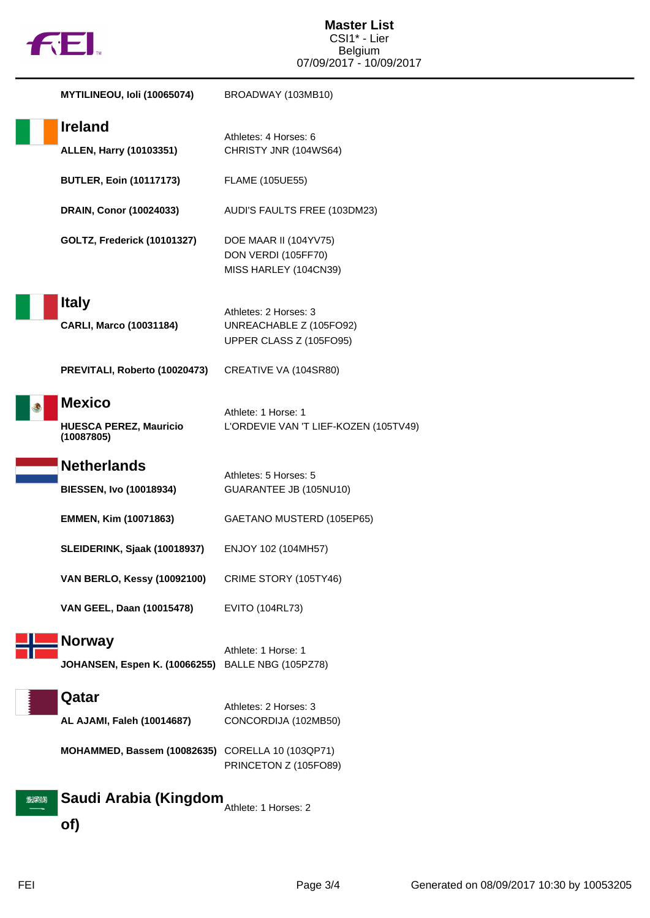

|       | MYTILINEOU, Ioli (10065074)                                  | BROADWAY (103MB10)                                                          |
|-------|--------------------------------------------------------------|-----------------------------------------------------------------------------|
|       | <b>Ireland</b><br><b>ALLEN, Harry (10103351)</b>             | Athletes: 4 Horses: 6<br>CHRISTY JNR (104WS64)                              |
|       | <b>BUTLER, Eoin (10117173)</b>                               | <b>FLAME (105UE55)</b>                                                      |
|       | DRAIN, Conor (10024033)                                      | AUDI'S FAULTS FREE (103DM23)                                                |
|       | <b>GOLTZ, Frederick (10101327)</b>                           | DOE MAAR II (104YV75)<br>DON VERDI (105FF70)<br>MISS HARLEY (104CN39)       |
|       | <b>Italy</b><br><b>CARLI, Marco (10031184)</b>               | Athletes: 2 Horses: 3<br>UNREACHABLE Z (105FO92)<br>UPPER CLASS Z (105FO95) |
|       | PREVITALI, Roberto (10020473)                                | CREATIVE VA (104SR80)                                                       |
|       | <b>Mexico</b><br><b>HUESCA PEREZ, Mauricio</b><br>(10087805) | Athlete: 1 Horse: 1<br>L'ORDEVIE VAN 'T LIEF-KOZEN (105TV49)                |
|       | <b>Netherlands</b><br><b>BIESSEN, Ivo (10018934)</b>         | Athletes: 5 Horses: 5<br>GUARANTEE JB (105NU10)                             |
|       | <b>EMMEN, Kim (10071863)</b>                                 | GAETANO MUSTERD (105EP65)                                                   |
|       | SLEIDERINK, Sjaak (10018937)                                 | ENJOY 102 (104MH57)                                                         |
|       | <b>VAN BERLO, Kessy (10092100)</b>                           | CRIME STORY (105TY46)                                                       |
|       | VAN GEEL, Daan (10015478)                                    | EVITO (104RL73)                                                             |
|       | <b>Norway</b><br><b>JOHANSEN, Espen K. (10066255)</b>        | Athlete: 1 Horse: 1<br>BALLE NBG (105PZ78)                                  |
|       | Qatar<br>AL AJAMI, Faleh (10014687)                          | Athletes: 2 Horses: 3<br>CONCORDIJA (102MB50)                               |
|       | MOHAMMED, Bassem (10082635)                                  | CORELLA 10 (103QP71)<br>PRINCETON Z (105FO89)                               |
| exent | Saudi Arabia (Kingdom<br>of)                                 | Athlete: 1 Horses: 2                                                        |